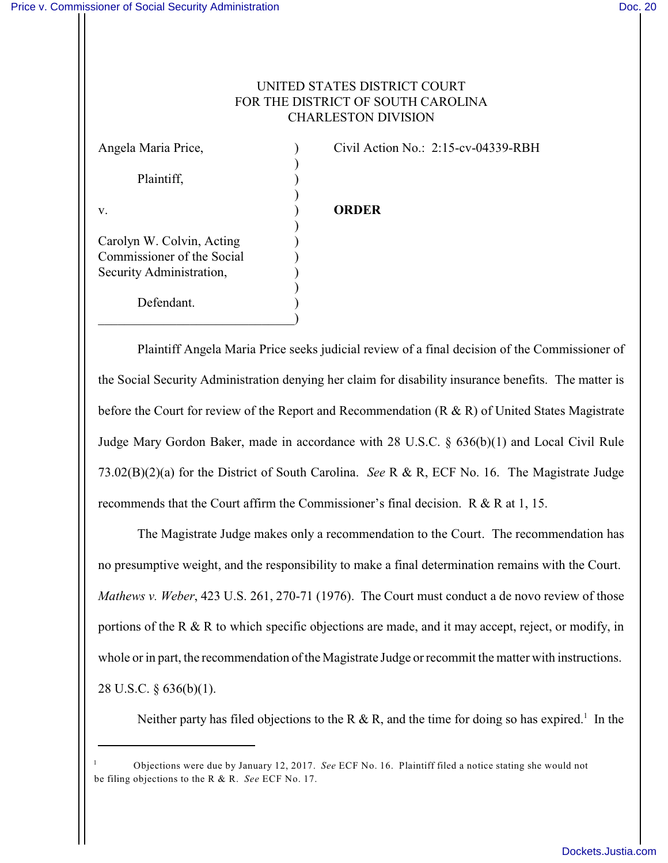## UNITED STATES DISTRICT COURT FOR THE DISTRICT OF SOUTH CAROLINA CHARLESTON DIVISION

) Plaintiff, (a) ) v. ) **ORDER** ) Carolyn W. Colvin, Acting ) Commissioner of the Social ) Security Administration, ) ) Defendant.  $\qquad \qquad \Box$ 

Angela Maria Price,  $\qquad \qquad$  (ivil Action No.: 2:15-cv-04339-RBH

Plaintiff Angela Maria Price seeks judicial review of a final decision of the Commissioner of the Social Security Administration denying her claim for disability insurance benefits. The matter is before the Court for review of the Report and Recommendation ( $R \& R$ ) of United States Magistrate Judge Mary Gordon Baker, made in accordance with 28 U.S.C. § 636(b)(1) and Local Civil Rule 73.02(B)(2)(a) for the District of South Carolina. *See* R & R, ECF No. 16. The Magistrate Judge recommends that the Court affirm the Commissioner's final decision. R & R at 1, 15.

The Magistrate Judge makes only a recommendation to the Court. The recommendation has no presumptive weight, and the responsibility to make a final determination remains with the Court. *Mathews v. Weber*, 423 U.S. 261, 270-71 (1976). The Court must conduct a de novo review of those portions of the R & R to which specific objections are made, and it may accept, reject, or modify, in whole or in part, the recommendation of the Magistrate Judge or recommit the matter with instructions. 28 U.S.C. § 636(b)(1).

Neither party has filed objections to the R & R, and the time for doing so has expired.<sup>1</sup> In the

Objections were due by January 12, 2017. *See* ECF No. 16. Plaintiff filed a notice stating she would not <sup>1</sup> be filing objections to the R & R. *See* ECF No. 17.